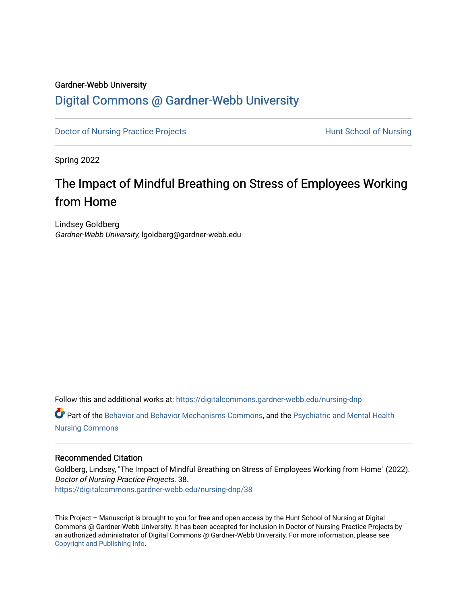#### Gardner-Webb University

# [Digital Commons @ Gardner-Webb University](https://digitalcommons.gardner-webb.edu/)

[Doctor of Nursing Practice Projects](https://digitalcommons.gardner-webb.edu/nursing-dnp) **Hunt School of Nursing** 

Spring 2022

# The Impact of Mindful Breathing on Stress of Employees Working from Home

Lindsey Goldberg Gardner-Webb University, lgoldberg@gardner-webb.edu

Follow this and additional works at: [https://digitalcommons.gardner-webb.edu/nursing-dnp](https://digitalcommons.gardner-webb.edu/nursing-dnp?utm_source=digitalcommons.gardner-webb.edu%2Fnursing-dnp%2F38&utm_medium=PDF&utm_campaign=PDFCoverPages) 

Part of the [Behavior and Behavior Mechanisms Commons,](https://network.bepress.com/hgg/discipline/963?utm_source=digitalcommons.gardner-webb.edu%2Fnursing-dnp%2F38&utm_medium=PDF&utm_campaign=PDFCoverPages) and the [Psychiatric and Mental Health](https://network.bepress.com/hgg/discipline/724?utm_source=digitalcommons.gardner-webb.edu%2Fnursing-dnp%2F38&utm_medium=PDF&utm_campaign=PDFCoverPages) [Nursing Commons](https://network.bepress.com/hgg/discipline/724?utm_source=digitalcommons.gardner-webb.edu%2Fnursing-dnp%2F38&utm_medium=PDF&utm_campaign=PDFCoverPages)

#### Recommended Citation

Goldberg, Lindsey, "The Impact of Mindful Breathing on Stress of Employees Working from Home" (2022). Doctor of Nursing Practice Projects. 38. [https://digitalcommons.gardner-webb.edu/nursing-dnp/38](https://digitalcommons.gardner-webb.edu/nursing-dnp/38?utm_source=digitalcommons.gardner-webb.edu%2Fnursing-dnp%2F38&utm_medium=PDF&utm_campaign=PDFCoverPages)

This Project – Manuscript is brought to you for free and open access by the Hunt School of Nursing at Digital Commons @ Gardner-Webb University. It has been accepted for inclusion in Doctor of Nursing Practice Projects by an authorized administrator of Digital Commons @ Gardner-Webb University. For more information, please see [Copyright and Publishing Info.](https://digitalcommons.gardner-webb.edu/copyright_publishing.html)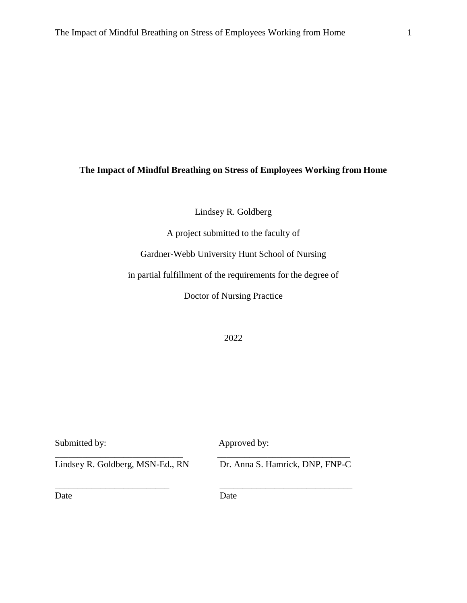# **The Impact of Mindful Breathing on Stress of Employees Working from Home**

Lindsey R. Goldberg

A project submitted to the faculty of

Gardner-Webb University Hunt School of Nursing

in partial fulfillment of the requirements for the degree of

Doctor of Nursing Practice

2022

| Submitted by:                    | Approved by:                    |
|----------------------------------|---------------------------------|
| Lindsey R. Goldberg, MSN-Ed., RN | Dr. Anna S. Hamrick, DNP, FNP-C |
| Date                             | Date                            |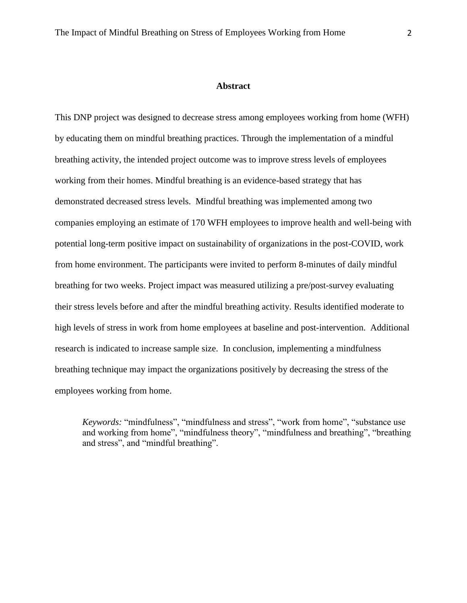#### **Abstract**

This DNP project was designed to decrease stress among employees working from home (WFH) by educating them on mindful breathing practices. Through the implementation of a mindful breathing activity, the intended project outcome was to improve stress levels of employees working from their homes. Mindful breathing is an evidence-based strategy that has demonstrated decreased stress levels. Mindful breathing was implemented among two companies employing an estimate of 170 WFH employees to improve health and well-being with potential long-term positive impact on sustainability of organizations in the post-COVID, work from home environment. The participants were invited to perform 8-minutes of daily mindful breathing for two weeks. Project impact was measured utilizing a pre/post-survey evaluating their stress levels before and after the mindful breathing activity. Results identified moderate to high levels of stress in work from home employees at baseline and post-intervention. Additional research is indicated to increase sample size. In conclusion, implementing a mindfulness breathing technique may impact the organizations positively by decreasing the stress of the employees working from home.

*Keywords:* "mindfulness", "mindfulness and stress", "work from home", "substance use and working from home", "mindfulness theory", "mindfulness and breathing", "breathing and stress", and "mindful breathing".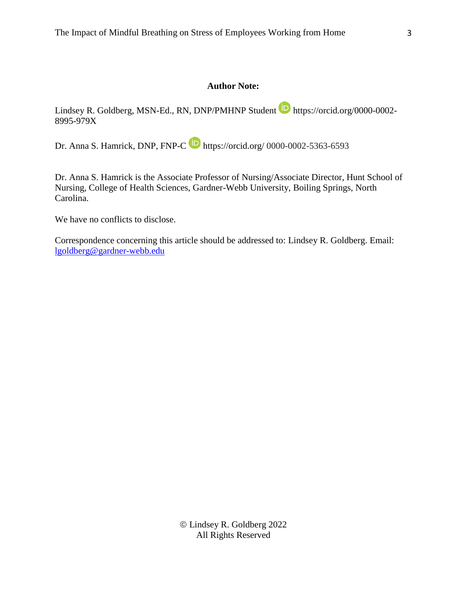## **Author Note:**

Lindsey R. Goldberg, MSN-Ed., RN, DNP/PMHNP Student **https://orcid.org/0000-0002-**8995-979X

Dr. Anna S. Hamrick, DNP, FNP-C **D** https://orcid.org/ 0000-0002-5363-6593

Dr. Anna S. Hamrick is the Associate Professor of Nursing/Associate Director, Hunt School of Nursing, College of Health Sciences, Gardner-Webb University, Boiling Springs, North Carolina.

We have no conflicts to disclose.

Correspondence concerning this article should be addressed to: Lindsey R. Goldberg. Email: [lgoldberg@gardner-webb.edu](mailto:lgoldberg@gardner-webb.edu)

> Lindsey R. Goldberg 2022 All Rights Reserved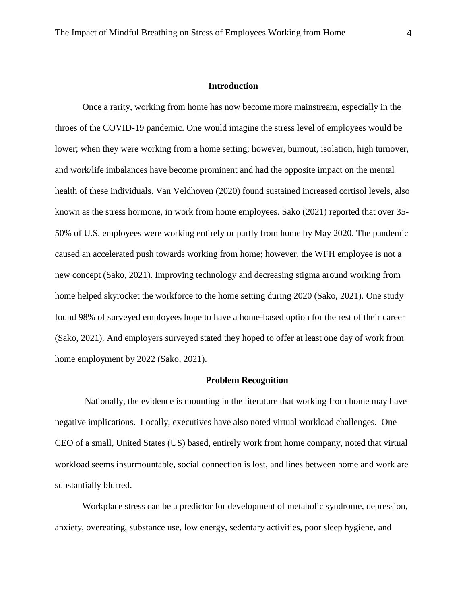#### **Introduction**

Once a rarity, working from home has now become more mainstream, especially in the throes of the COVID-19 pandemic. One would imagine the stress level of employees would be lower; when they were working from a home setting; however, burnout, isolation, high turnover, and work/life imbalances have become prominent and had the opposite impact on the mental health of these individuals. Van Veldhoven (2020) found sustained increased cortisol levels, also known as the stress hormone, in work from home employees. Sako (2021) reported that over 35- 50% of U.S. employees were working entirely or partly from home by May 2020. The pandemic caused an accelerated push towards working from home; however, the WFH employee is not a new concept (Sako, 2021). Improving technology and decreasing stigma around working from home helped skyrocket the workforce to the home setting during 2020 (Sako, 2021). One study found 98% of surveyed employees hope to have a home-based option for the rest of their career (Sako, 2021). And employers surveyed stated they hoped to offer at least one day of work from home employment by 2022 (Sako, 2021).

#### **Problem Recognition**

Nationally, the evidence is mounting in the literature that working from home may have negative implications. Locally, executives have also noted virtual workload challenges. One CEO of a small, United States (US) based, entirely work from home company, noted that virtual workload seems insurmountable, social connection is lost, and lines between home and work are substantially blurred.

Workplace stress can be a predictor for development of metabolic syndrome, depression, anxiety, overeating, substance use, low energy, sedentary activities, poor sleep hygiene, and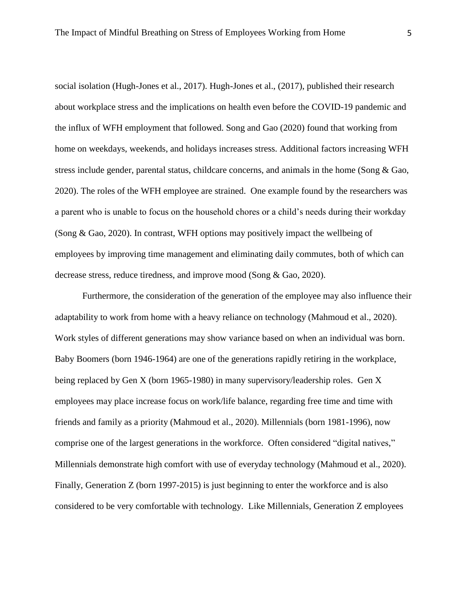social isolation (Hugh-Jones et al., 2017). Hugh-Jones et al., (2017), published their research about workplace stress and the implications on health even before the COVID-19 pandemic and the influx of WFH employment that followed. Song and Gao (2020) found that working from home on weekdays, weekends, and holidays increases stress. Additional factors increasing WFH stress include gender, parental status, childcare concerns, and animals in the home (Song & Gao, 2020). The roles of the WFH employee are strained. One example found by the researchers was a parent who is unable to focus on the household chores or a child's needs during their workday (Song & Gao, 2020). In contrast, WFH options may positively impact the wellbeing of employees by improving time management and eliminating daily commutes, both of which can decrease stress, reduce tiredness, and improve mood (Song & Gao, 2020).

Furthermore, the consideration of the generation of the employee may also influence their adaptability to work from home with a heavy reliance on technology (Mahmoud et al., 2020). Work styles of different generations may show variance based on when an individual was born. Baby Boomers (born 1946-1964) are one of the generations rapidly retiring in the workplace, being replaced by Gen X (born 1965-1980) in many supervisory/leadership roles. Gen X employees may place increase focus on work/life balance, regarding free time and time with friends and family as a priority (Mahmoud et al., 2020). Millennials (born 1981-1996), now comprise one of the largest generations in the workforce. Often considered "digital natives," Millennials demonstrate high comfort with use of everyday technology (Mahmoud et al., 2020). Finally, Generation Z (born 1997-2015) is just beginning to enter the workforce and is also considered to be very comfortable with technology. Like Millennials, Generation Z employees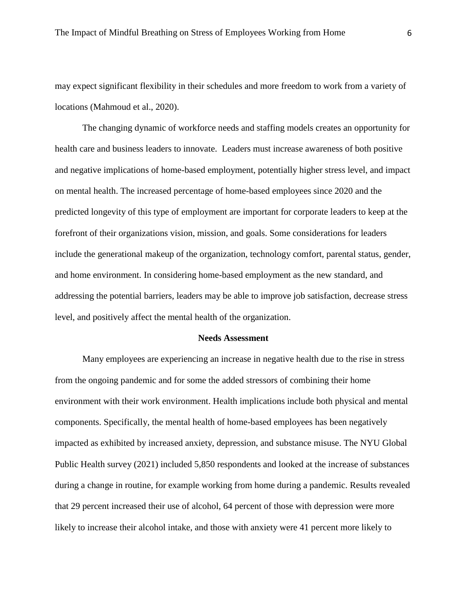may expect significant flexibility in their schedules and more freedom to work from a variety of locations (Mahmoud et al., 2020).

The changing dynamic of workforce needs and staffing models creates an opportunity for health care and business leaders to innovate. Leaders must increase awareness of both positive and negative implications of home-based employment, potentially higher stress level, and impact on mental health. The increased percentage of home-based employees since 2020 and the predicted longevity of this type of employment are important for corporate leaders to keep at the forefront of their organizations vision, mission, and goals. Some considerations for leaders include the generational makeup of the organization, technology comfort, parental status, gender, and home environment. In considering home-based employment as the new standard, and addressing the potential barriers, leaders may be able to improve job satisfaction, decrease stress level, and positively affect the mental health of the organization.

#### **Needs Assessment**

Many employees are experiencing an increase in negative health due to the rise in stress from the ongoing pandemic and for some the added stressors of combining their home environment with their work environment. Health implications include both physical and mental components. Specifically, the mental health of home-based employees has been negatively impacted as exhibited by increased anxiety, depression, and substance misuse. The NYU Global Public Health survey (2021) included 5,850 respondents and looked at the increase of substances during a change in routine, for example working from home during a pandemic. Results revealed that 29 percent increased their use of alcohol, 64 percent of those with depression were more likely to increase their alcohol intake, and those with anxiety were 41 percent more likely to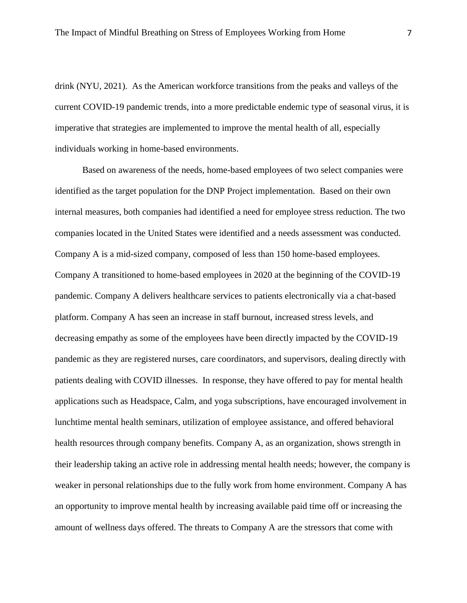drink (NYU, 2021). As the American workforce transitions from the peaks and valleys of the current COVID-19 pandemic trends, into a more predictable endemic type of seasonal virus, it is imperative that strategies are implemented to improve the mental health of all, especially individuals working in home-based environments.

Based on awareness of the needs, home-based employees of two select companies were identified as the target population for the DNP Project implementation. Based on their own internal measures, both companies had identified a need for employee stress reduction. The two companies located in the United States were identified and a needs assessment was conducted. Company A is a mid-sized company, composed of less than 150 home-based employees. Company A transitioned to home-based employees in 2020 at the beginning of the COVID-19 pandemic. Company A delivers healthcare services to patients electronically via a chat-based platform. Company A has seen an increase in staff burnout, increased stress levels, and decreasing empathy as some of the employees have been directly impacted by the COVID-19 pandemic as they are registered nurses, care coordinators, and supervisors, dealing directly with patients dealing with COVID illnesses. In response, they have offered to pay for mental health applications such as Headspace, Calm, and yoga subscriptions, have encouraged involvement in lunchtime mental health seminars, utilization of employee assistance, and offered behavioral health resources through company benefits. Company A, as an organization, shows strength in their leadership taking an active role in addressing mental health needs; however, the company is weaker in personal relationships due to the fully work from home environment. Company A has an opportunity to improve mental health by increasing available paid time off or increasing the amount of wellness days offered. The threats to Company A are the stressors that come with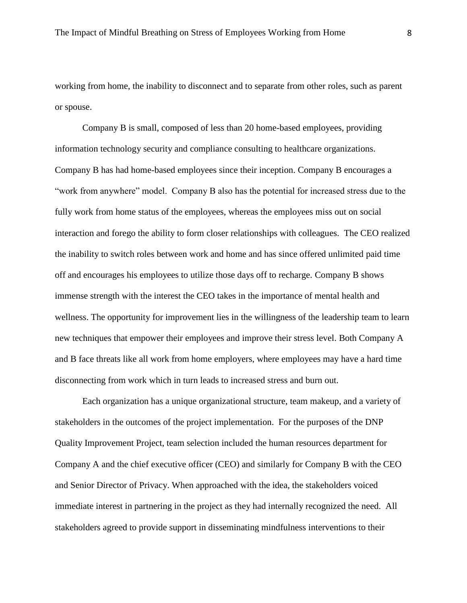working from home, the inability to disconnect and to separate from other roles, such as parent or spouse.

Company B is small, composed of less than 20 home-based employees, providing information technology security and compliance consulting to healthcare organizations. Company B has had home-based employees since their inception. Company B encourages a "work from anywhere" model. Company B also has the potential for increased stress due to the fully work from home status of the employees, whereas the employees miss out on social interaction and forego the ability to form closer relationships with colleagues. The CEO realized the inability to switch roles between work and home and has since offered unlimited paid time off and encourages his employees to utilize those days off to recharge. Company B shows immense strength with the interest the CEO takes in the importance of mental health and wellness. The opportunity for improvement lies in the willingness of the leadership team to learn new techniques that empower their employees and improve their stress level. Both Company A and B face threats like all work from home employers, where employees may have a hard time disconnecting from work which in turn leads to increased stress and burn out.

Each organization has a unique organizational structure, team makeup, and a variety of stakeholders in the outcomes of the project implementation. For the purposes of the DNP Quality Improvement Project, team selection included the human resources department for Company A and the chief executive officer (CEO) and similarly for Company B with the CEO and Senior Director of Privacy. When approached with the idea, the stakeholders voiced immediate interest in partnering in the project as they had internally recognized the need. All stakeholders agreed to provide support in disseminating mindfulness interventions to their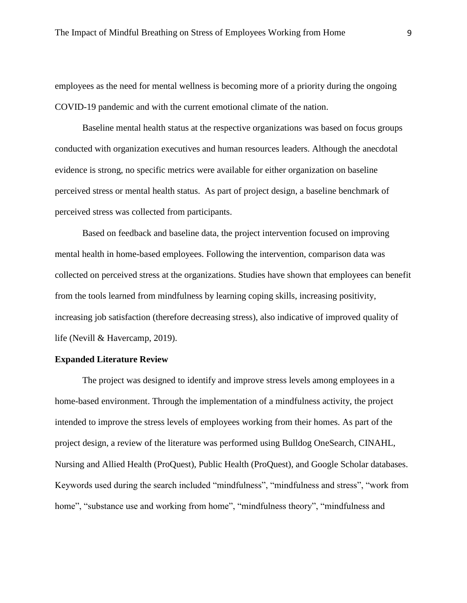employees as the need for mental wellness is becoming more of a priority during the ongoing COVID-19 pandemic and with the current emotional climate of the nation.

Baseline mental health status at the respective organizations was based on focus groups conducted with organization executives and human resources leaders. Although the anecdotal evidence is strong, no specific metrics were available for either organization on baseline perceived stress or mental health status. As part of project design, a baseline benchmark of perceived stress was collected from participants.

Based on feedback and baseline data, the project intervention focused on improving mental health in home-based employees. Following the intervention, comparison data was collected on perceived stress at the organizations. Studies have shown that employees can benefit from the tools learned from mindfulness by learning coping skills, increasing positivity, increasing job satisfaction (therefore decreasing stress), also indicative of improved quality of life (Nevill & Havercamp, 2019).

#### **Expanded Literature Review**

The project was designed to identify and improve stress levels among employees in a home-based environment. Through the implementation of a mindfulness activity, the project intended to improve the stress levels of employees working from their homes. As part of the project design, a review of the literature was performed using Bulldog OneSearch, CINAHL, Nursing and Allied Health (ProQuest), Public Health (ProQuest), and Google Scholar databases. Keywords used during the search included "mindfulness", "mindfulness and stress", "work from home", "substance use and working from home", "mindfulness theory", "mindfulness and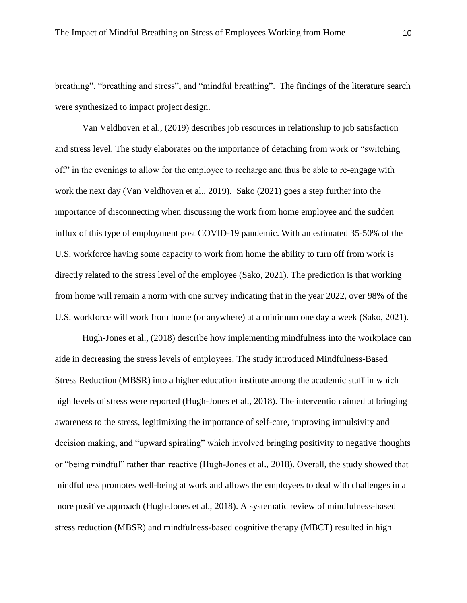breathing", "breathing and stress", and "mindful breathing". The findings of the literature search were synthesized to impact project design.

Van Veldhoven et al., (2019) describes job resources in relationship to job satisfaction and stress level. The study elaborates on the importance of detaching from work or "switching off" in the evenings to allow for the employee to recharge and thus be able to re-engage with work the next day (Van Veldhoven et al., 2019). Sako (2021) goes a step further into the importance of disconnecting when discussing the work from home employee and the sudden influx of this type of employment post COVID-19 pandemic. With an estimated 35-50% of the U.S. workforce having some capacity to work from home the ability to turn off from work is directly related to the stress level of the employee (Sako, 2021). The prediction is that working from home will remain a norm with one survey indicating that in the year 2022, over 98% of the U.S. workforce will work from home (or anywhere) at a minimum one day a week (Sako, 2021).

Hugh-Jones et al., (2018) describe how implementing mindfulness into the workplace can aide in decreasing the stress levels of employees. The study introduced Mindfulness-Based Stress Reduction (MBSR) into a higher education institute among the academic staff in which high levels of stress were reported (Hugh-Jones et al., 2018). The intervention aimed at bringing awareness to the stress, legitimizing the importance of self-care, improving impulsivity and decision making, and "upward spiraling" which involved bringing positivity to negative thoughts or "being mindful" rather than reactive (Hugh-Jones et al., 2018). Overall, the study showed that mindfulness promotes well-being at work and allows the employees to deal with challenges in a more positive approach (Hugh-Jones et al., 2018). A systematic review of mindfulness-based stress reduction (MBSR) and mindfulness-based cognitive therapy (MBCT) resulted in high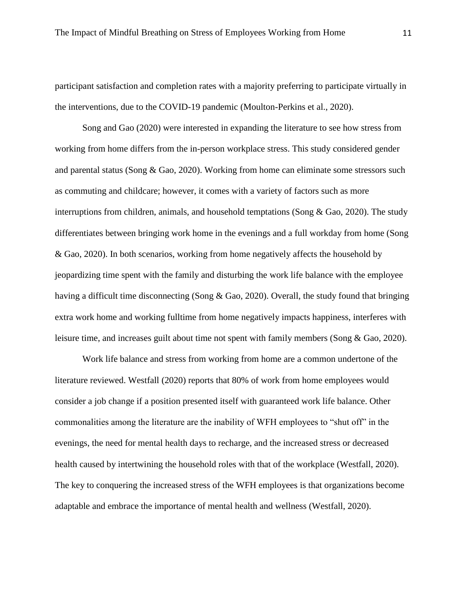participant satisfaction and completion rates with a majority preferring to participate virtually in the interventions, due to the COVID-19 pandemic (Moulton-Perkins et al., 2020).

Song and Gao (2020) were interested in expanding the literature to see how stress from working from home differs from the in-person workplace stress. This study considered gender and parental status (Song & Gao, 2020). Working from home can eliminate some stressors such as commuting and childcare; however, it comes with a variety of factors such as more interruptions from children, animals, and household temptations (Song & Gao, 2020). The study differentiates between bringing work home in the evenings and a full workday from home (Song & Gao, 2020). In both scenarios, working from home negatively affects the household by jeopardizing time spent with the family and disturbing the work life balance with the employee having a difficult time disconnecting (Song & Gao, 2020). Overall, the study found that bringing extra work home and working fulltime from home negatively impacts happiness, interferes with leisure time, and increases guilt about time not spent with family members (Song & Gao, 2020).

Work life balance and stress from working from home are a common undertone of the literature reviewed. Westfall (2020) reports that 80% of work from home employees would consider a job change if a position presented itself with guaranteed work life balance. Other commonalities among the literature are the inability of WFH employees to "shut off" in the evenings, the need for mental health days to recharge, and the increased stress or decreased health caused by intertwining the household roles with that of the workplace (Westfall, 2020). The key to conquering the increased stress of the WFH employees is that organizations become adaptable and embrace the importance of mental health and wellness (Westfall, 2020).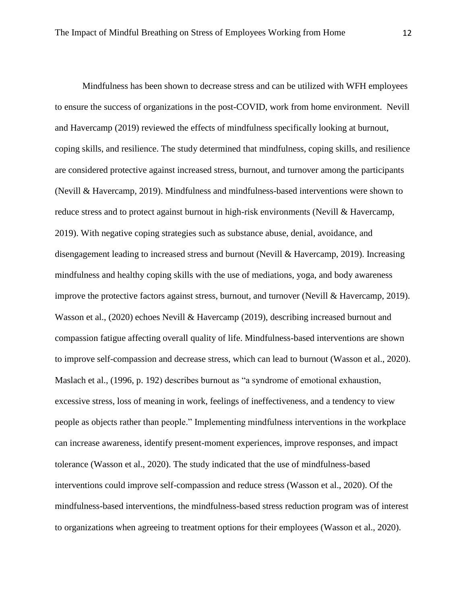Mindfulness has been shown to decrease stress and can be utilized with WFH employees to ensure the success of organizations in the post-COVID, work from home environment. Nevill and Havercamp (2019) reviewed the effects of mindfulness specifically looking at burnout, coping skills, and resilience. The study determined that mindfulness, coping skills, and resilience are considered protective against increased stress, burnout, and turnover among the participants (Nevill & Havercamp, 2019). Mindfulness and mindfulness-based interventions were shown to reduce stress and to protect against burnout in high-risk environments (Nevill & Havercamp, 2019). With negative coping strategies such as substance abuse, denial, avoidance, and disengagement leading to increased stress and burnout (Nevill & Havercamp, 2019). Increasing mindfulness and healthy coping skills with the use of mediations, yoga, and body awareness improve the protective factors against stress, burnout, and turnover (Nevill & Havercamp, 2019). Wasson et al., (2020) echoes Nevill & Havercamp (2019), describing increased burnout and compassion fatigue affecting overall quality of life. Mindfulness-based interventions are shown to improve self-compassion and decrease stress, which can lead to burnout (Wasson et al., 2020). Maslach et al., (1996, p. 192) describes burnout as "a syndrome of emotional exhaustion, excessive stress, loss of meaning in work, feelings of ineffectiveness, and a tendency to view people as objects rather than people." Implementing mindfulness interventions in the workplace can increase awareness, identify present-moment experiences, improve responses, and impact tolerance (Wasson et al., 2020). The study indicated that the use of mindfulness-based interventions could improve self-compassion and reduce stress (Wasson et al., 2020). Of the mindfulness-based interventions, the mindfulness-based stress reduction program was of interest to organizations when agreeing to treatment options for their employees (Wasson et al., 2020).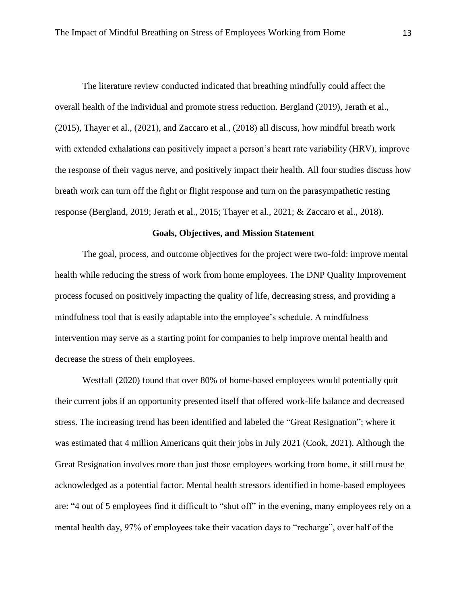The literature review conducted indicated that breathing mindfully could affect the overall health of the individual and promote stress reduction. Bergland (2019), Jerath et al., (2015), Thayer et al., (2021), and Zaccaro et al., (2018) all discuss, how mindful breath work with extended exhalations can positively impact a person's heart rate variability (HRV), improve the response of their vagus nerve, and positively impact their health. All four studies discuss how breath work can turn off the fight or flight response and turn on the parasympathetic resting response (Bergland, 2019; Jerath et al., 2015; Thayer et al., 2021; & Zaccaro et al., 2018).

#### **Goals, Objectives, and Mission Statement**

The goal, process, and outcome objectives for the project were two-fold: improve mental health while reducing the stress of work from home employees. The DNP Quality Improvement process focused on positively impacting the quality of life, decreasing stress, and providing a mindfulness tool that is easily adaptable into the employee's schedule. A mindfulness intervention may serve as a starting point for companies to help improve mental health and decrease the stress of their employees.

Westfall (2020) found that over 80% of home-based employees would potentially quit their current jobs if an opportunity presented itself that offered work-life balance and decreased stress. The increasing trend has been identified and labeled the "Great Resignation"; where it was estimated that 4 million Americans quit their jobs in July 2021 (Cook, 2021). Although the Great Resignation involves more than just those employees working from home, it still must be acknowledged as a potential factor. Mental health stressors identified in home-based employees are: "4 out of 5 employees find it difficult to "shut off" in the evening, many employees rely on a mental health day, 97% of employees take their vacation days to "recharge", over half of the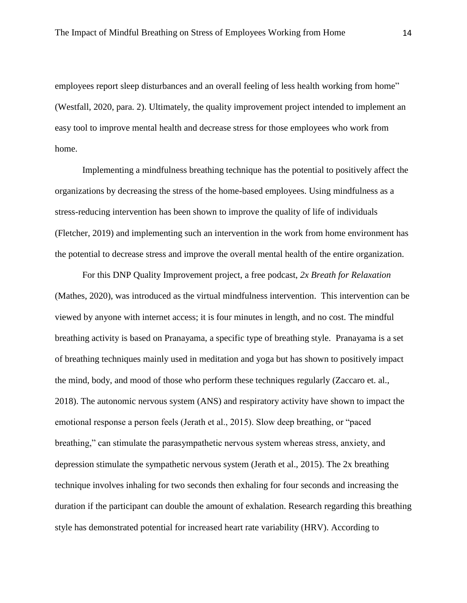employees report sleep disturbances and an overall feeling of less health working from home" (Westfall, 2020, para. 2). Ultimately, the quality improvement project intended to implement an easy tool to improve mental health and decrease stress for those employees who work from home.

Implementing a mindfulness breathing technique has the potential to positively affect the organizations by decreasing the stress of the home-based employees. Using mindfulness as a stress-reducing intervention has been shown to improve the quality of life of individuals (Fletcher, 2019) and implementing such an intervention in the work from home environment has the potential to decrease stress and improve the overall mental health of the entire organization.

For this DNP Quality Improvement project, a free podcast, *2x Breath for Relaxation*  (Mathes, 2020), was introduced as the virtual mindfulness intervention. This intervention can be viewed by anyone with internet access; it is four minutes in length, and no cost. The mindful breathing activity is based on Pranayama, a specific type of breathing style. Pranayama is a set of breathing techniques mainly used in meditation and yoga but has shown to positively impact the mind, body, and mood of those who perform these techniques regularly (Zaccaro et. al., 2018). The autonomic nervous system (ANS) and respiratory activity have shown to impact the emotional response a person feels (Jerath et al., 2015). Slow deep breathing, or "paced breathing," can stimulate the parasympathetic nervous system whereas stress, anxiety, and depression stimulate the sympathetic nervous system (Jerath et al., 2015). The 2x breathing technique involves inhaling for two seconds then exhaling for four seconds and increasing the duration if the participant can double the amount of exhalation. Research regarding this breathing style has demonstrated potential for increased heart rate variability (HRV). According to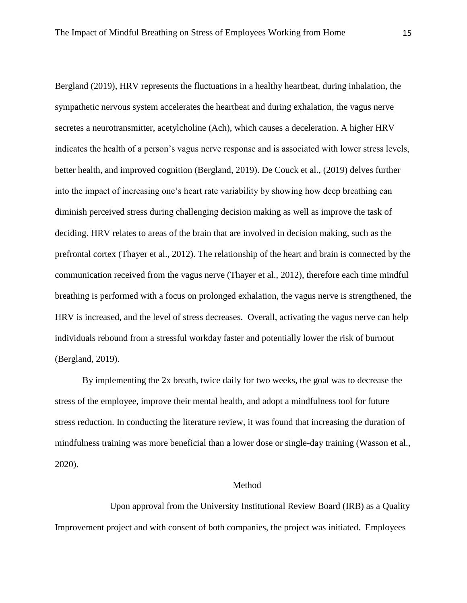Bergland (2019), HRV represents the fluctuations in a healthy heartbeat, during inhalation, the sympathetic nervous system accelerates the heartbeat and during exhalation, the vagus nerve secretes a neurotransmitter, acetylcholine (Ach), which causes a deceleration. A higher HRV indicates the health of a person's vagus nerve response and is associated with lower stress levels, better health, and improved cognition (Bergland, 2019). De Couck et al., (2019) delves further into the impact of increasing one's heart rate variability by showing how deep breathing can diminish perceived stress during challenging decision making as well as improve the task of deciding. HRV relates to areas of the brain that are involved in decision making, such as the prefrontal cortex (Thayer et al., 2012). The relationship of the heart and brain is connected by the communication received from the vagus nerve (Thayer et al., 2012), therefore each time mindful breathing is performed with a focus on prolonged exhalation, the vagus nerve is strengthened, the HRV is increased, and the level of stress decreases. Overall, activating the vagus nerve can help individuals rebound from a stressful workday faster and potentially lower the risk of burnout (Bergland, 2019).

By implementing the 2x breath, twice daily for two weeks, the goal was to decrease the stress of the employee, improve their mental health, and adopt a mindfulness tool for future stress reduction. In conducting the literature review, it was found that increasing the duration of mindfulness training was more beneficial than a lower dose or single-day training (Wasson et al., 2020).

#### Method

Upon approval from the University Institutional Review Board (IRB) as a Quality Improvement project and with consent of both companies, the project was initiated. Employees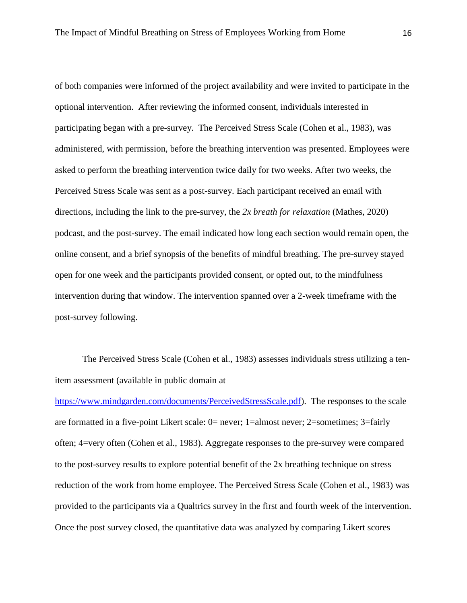of both companies were informed of the project availability and were invited to participate in the optional intervention. After reviewing the informed consent, individuals interested in participating began with a pre-survey. The Perceived Stress Scale (Cohen et al., 1983), was administered, with permission, before the breathing intervention was presented. Employees were asked to perform the breathing intervention twice daily for two weeks. After two weeks, the Perceived Stress Scale was sent as a post-survey. Each participant received an email with directions, including the link to the pre-survey, the *2x breath for relaxation* (Mathes, 2020) podcast, and the post-survey. The email indicated how long each section would remain open, the online consent, and a brief synopsis of the benefits of mindful breathing. The pre-survey stayed open for one week and the participants provided consent, or opted out, to the mindfulness intervention during that window. The intervention spanned over a 2-week timeframe with the post-survey following.

The Perceived Stress Scale (Cohen et al., 1983) assesses individuals stress utilizing a tenitem assessment (available in public domain at

[https://www.mindgarden.com/documents/PerceivedStressScale.pdf\)](https://www.mindgarden.com/documents/PerceivedStressScale.pdf). The responses to the scale are formatted in a five-point Likert scale: 0= never; 1=almost never; 2=sometimes; 3=fairly often; 4=very often (Cohen et al., 1983). Aggregate responses to the pre-survey were compared to the post-survey results to explore potential benefit of the 2x breathing technique on stress reduction of the work from home employee. The Perceived Stress Scale (Cohen et al., 1983) was provided to the participants via a Qualtrics survey in the first and fourth week of the intervention. Once the post survey closed, the quantitative data was analyzed by comparing Likert scores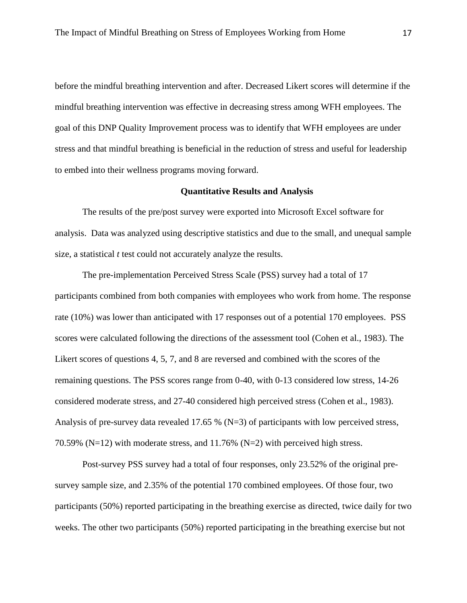before the mindful breathing intervention and after. Decreased Likert scores will determine if the mindful breathing intervention was effective in decreasing stress among WFH employees. The goal of this DNP Quality Improvement process was to identify that WFH employees are under stress and that mindful breathing is beneficial in the reduction of stress and useful for leadership to embed into their wellness programs moving forward.

#### **Quantitative Results and Analysis**

The results of the pre/post survey were exported into Microsoft Excel software for analysis. Data was analyzed using descriptive statistics and due to the small, and unequal sample size, a statistical *t* test could not accurately analyze the results.

The pre-implementation Perceived Stress Scale (PSS) survey had a total of 17 participants combined from both companies with employees who work from home. The response rate (10%) was lower than anticipated with 17 responses out of a potential 170 employees. PSS scores were calculated following the directions of the assessment tool (Cohen et al., 1983). The Likert scores of questions 4, 5, 7, and 8 are reversed and combined with the scores of the remaining questions. The PSS scores range from 0-40, with 0-13 considered low stress, 14-26 considered moderate stress, and 27-40 considered high perceived stress (Cohen et al., 1983). Analysis of pre-survey data revealed 17.65 % (N=3) of participants with low perceived stress, 70.59% (N=12) with moderate stress, and 11.76% (N=2) with perceived high stress.

Post-survey PSS survey had a total of four responses, only 23.52% of the original presurvey sample size, and 2.35% of the potential 170 combined employees. Of those four, two participants (50%) reported participating in the breathing exercise as directed, twice daily for two weeks. The other two participants (50%) reported participating in the breathing exercise but not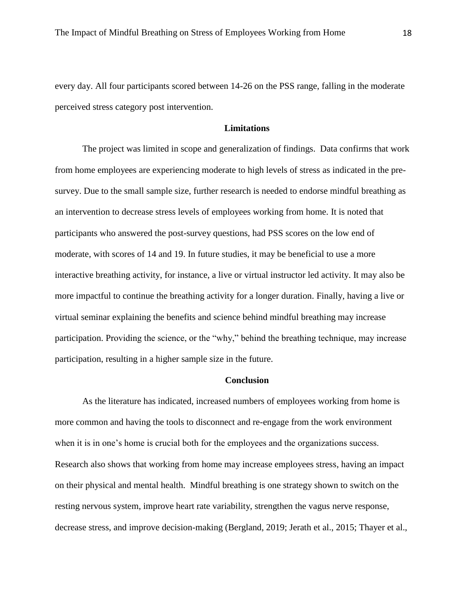every day. All four participants scored between 14-26 on the PSS range, falling in the moderate perceived stress category post intervention.

#### **Limitations**

The project was limited in scope and generalization of findings. Data confirms that work from home employees are experiencing moderate to high levels of stress as indicated in the presurvey. Due to the small sample size, further research is needed to endorse mindful breathing as an intervention to decrease stress levels of employees working from home. It is noted that participants who answered the post-survey questions, had PSS scores on the low end of moderate, with scores of 14 and 19. In future studies, it may be beneficial to use a more interactive breathing activity, for instance, a live or virtual instructor led activity. It may also be more impactful to continue the breathing activity for a longer duration. Finally, having a live or virtual seminar explaining the benefits and science behind mindful breathing may increase participation. Providing the science, or the "why," behind the breathing technique, may increase participation, resulting in a higher sample size in the future.

#### **Conclusion**

As the literature has indicated, increased numbers of employees working from home is more common and having the tools to disconnect and re-engage from the work environment when it is in one's home is crucial both for the employees and the organizations success. Research also shows that working from home may increase employees stress, having an impact on their physical and mental health. Mindful breathing is one strategy shown to switch on the resting nervous system, improve heart rate variability, strengthen the vagus nerve response, decrease stress, and improve decision-making (Bergland, 2019; Jerath et al., 2015; Thayer et al.,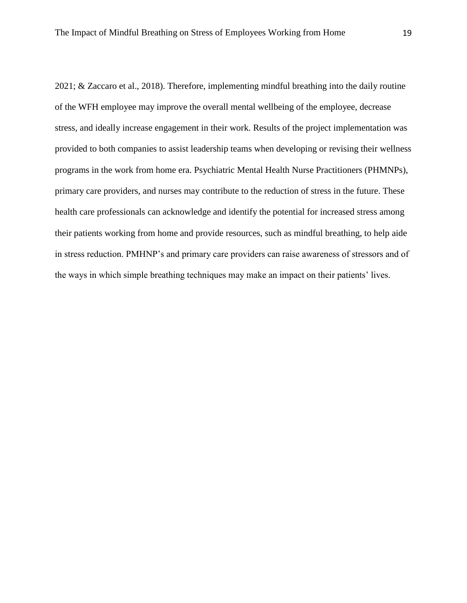2021; & Zaccaro et al., 2018). Therefore, implementing mindful breathing into the daily routine of the WFH employee may improve the overall mental wellbeing of the employee, decrease stress, and ideally increase engagement in their work. Results of the project implementation was provided to both companies to assist leadership teams when developing or revising their wellness programs in the work from home era. Psychiatric Mental Health Nurse Practitioners (PHMNPs), primary care providers, and nurses may contribute to the reduction of stress in the future. These health care professionals can acknowledge and identify the potential for increased stress among their patients working from home and provide resources, such as mindful breathing, to help aide in stress reduction. PMHNP's and primary care providers can raise awareness of stressors and of the ways in which simple breathing techniques may make an impact on their patients' lives.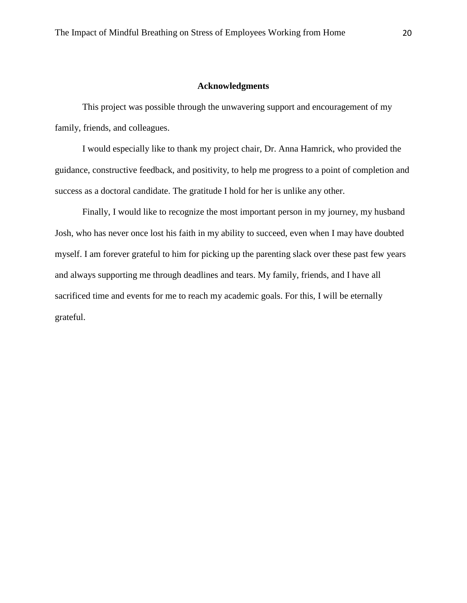### **Acknowledgments**

This project was possible through the unwavering support and encouragement of my family, friends, and colleagues.

I would especially like to thank my project chair, Dr. Anna Hamrick, who provided the guidance, constructive feedback, and positivity, to help me progress to a point of completion and success as a doctoral candidate. The gratitude I hold for her is unlike any other.

Finally, I would like to recognize the most important person in my journey, my husband Josh, who has never once lost his faith in my ability to succeed, even when I may have doubted myself. I am forever grateful to him for picking up the parenting slack over these past few years and always supporting me through deadlines and tears. My family, friends, and I have all sacrificed time and events for me to reach my academic goals. For this, I will be eternally grateful.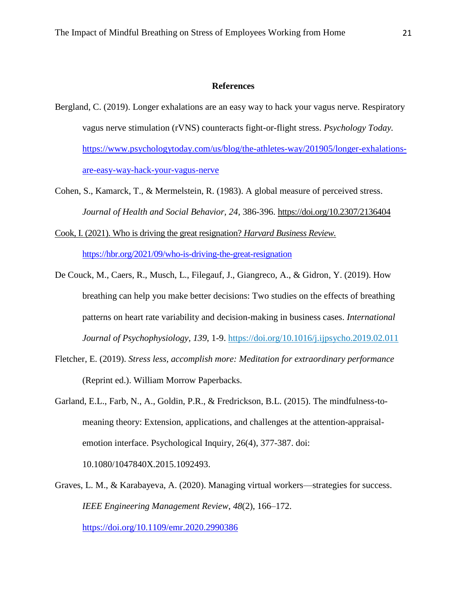#### **References**

- Bergland, C. (2019). Longer exhalations are an easy way to hack your vagus nerve. Respiratory vagus nerve stimulation (rVNS) counteracts fight-or-flight stress. *Psychology Today.* [https://www.psychologytoday.com/us/blog/the-athletes-way/201905/longer-exhalations](https://www.psychologytoday.com/us/blog/the-athletes-way/201905/longer-exhalations-are-easy-way-hack-your-vagus-nerve)[are-easy-way-hack-your-vagus-nerve](https://www.psychologytoday.com/us/blog/the-athletes-way/201905/longer-exhalations-are-easy-way-hack-your-vagus-nerve)
- Cohen, S., Kamarck, T., & Mermelstein, R. (1983). A global measure of perceived stress. *Journal of Health and Social Behavior, 24,* 386-396.<https://doi.org/10.2307/2136404>

Cook, I. (2021). Who is driving the great resignation? *Harvard Business Review.* 

<https://hbr.org/2021/09/who-is-driving-the-great-resignation>

- De Couck, M., Caers, R., Musch, L., Filegauf, J., Giangreco, A., & Gidron, Y. (2019). How breathing can help you make better decisions: Two studies on the effects of breathing patterns on heart rate variability and decision-making in business cases. *International Journal of Psychophysiology, 139*, 1-9. [https://doi.org/10.1016/j.ijpsycho.2019.02.011](https://doi-org.ezproxy.gardner-webb.edu/10.1016/j.ijpsycho.2019.02.011)
- Fletcher, E. (2019). *Stress less, accomplish more: Meditation for extraordinary performance* (Reprint ed.). William Morrow Paperbacks.
- Garland, E.L., Farb, N., A., Goldin, P.R., & Fredrickson, B.L. (2015). The mindfulness-tomeaning theory: Extension, applications, and challenges at the attention-appraisalemotion interface. Psychological Inquiry, 26(4), 377-387. doi:

10.1080/1047840X.2015.1092493.

Graves, L. M., & Karabayeva, A. (2020). Managing virtual workers—strategies for success. *IEEE Engineering Management Review*, *48*(2), 166–172.

<https://doi.org/10.1109/emr.2020.2990386>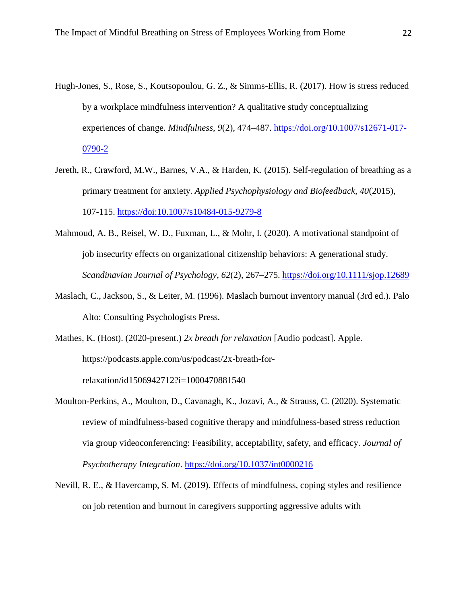- Hugh-Jones, S., Rose, S., Koutsopoulou, G. Z., & Simms-Ellis, R. (2017). How is stress reduced by a workplace mindfulness intervention? A qualitative study conceptualizing experiences of change. *Mindfulness*, *9*(2), 474–487. [https://doi.org/10.1007/s12671-017-](https://doi.org/10.1007/s12671-017-0790-2) [0790-2](https://doi.org/10.1007/s12671-017-0790-2)
- Jereth, R., Crawford, M.W., Barnes, V.A., & Harden, K. (2015). Self-regulation of breathing as a primary treatment for anxiety. *Applied Psychophysiology and Biofeedback, 40*(2015), 107-115.<https://doi:10.1007/s10484-015-9279-8>
- Mahmoud, A. B., Reisel, W. D., Fuxman, L., & Mohr, I. (2020). A motivational standpoint of job insecurity effects on organizational citizenship behaviors: A generational study. *Scandinavian Journal of Psychology*, *62*(2), 267–275.<https://doi.org/10.1111/sjop.12689>
- Maslach, C., Jackson, S., & Leiter, M. (1996). Maslach burnout inventory manual (3rd ed.). Palo Alto: Consulting Psychologists Press.
- Mathes, K. (Host). (2020-present.) *2x breath for relaxation* [Audio podcast]. Apple. https://podcasts.apple.com/us/podcast/2x-breath-forrelaxation/id1506942712?i=1000470881540
- Moulton-Perkins, A., Moulton, D., Cavanagh, K., Jozavi, A., & Strauss, C. (2020). Systematic review of mindfulness-based cognitive therapy and mindfulness-based stress reduction via group videoconferencing: Feasibility, acceptability, safety, and efficacy. *Journal of Psychotherapy Integration*.<https://doi.org/10.1037/int0000216>
- Nevill, R. E., & Havercamp, S. M. (2019). Effects of mindfulness, coping styles and resilience on job retention and burnout in caregivers supporting aggressive adults with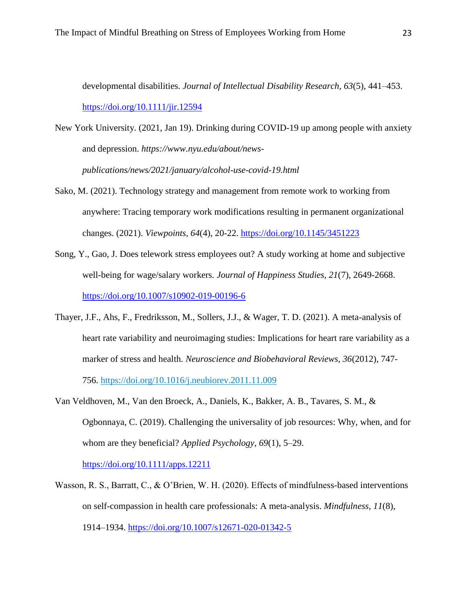developmental disabilities. *Journal of Intellectual Disability Research*, *63*(5), 441–453. <https://doi.org/10.1111/jir.12594>

- New York University. (2021, Jan 19). Drinking during COVID-19 up among people with anxiety and depression. *https://www.nyu.edu/about/newspublications/news/2021/january/alcohol-use-covid-19.html*
- Sako, M. (2021). Technology strategy and management from remote work to working from anywhere: Tracing temporary work modifications resulting in permanent organizational changes. (2021). *Viewpoints, 64*(4), 20-22.<https://doi.org/10.1145/3451223>
- Song, Y., Gao, J. Does telework stress employees out? A study working at home and subjective well-being for wage/salary workers. *Journal of Happiness Studies, 21*(7), 2649-2668. <https://doi.org/10.1007/s10902-019-00196-6>
- Thayer, J.F., Ahs, F., Fredriksson, M., Sollers, J.J., & Wager, T. D. (2021). A meta-analysis of heart rate variability and neuroimaging studies: Implications for heart rare variability as a marker of stress and health. *Neuroscience and Biobehavioral Reviews, 36*(2012), 747- 756.<https://doi.org/10.1016/j.neubiorev.2011.11.009>
- Van Veldhoven, M., Van den Broeck, A., Daniels, K., Bakker, A. B., Tavares, S. M., & Ogbonnaya, C. (2019). Challenging the universality of job resources: Why, when, and for whom are they beneficial? *Applied Psychology*, *69*(1), 5–29.

<https://doi.org/10.1111/apps.12211>

Wasson, R. S., Barratt, C., & O'Brien, W. H. (2020). Effects of mindfulness-based interventions on self-compassion in health care professionals: A meta-analysis. *Mindfulness*, *11*(8), 1914–1934.<https://doi.org/10.1007/s12671-020-01342-5>